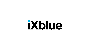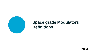

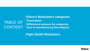### TABLE OF CONTENT **iXblue's Modulators categories Presentation Differences between the categories View of manufacturing flow diagram**

**Flight Model Modulators**

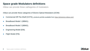iXblue can provide these cathegories of modulators

iXblue can provide these categories of Electro-Optical Modulators (EOM):

- Commercial Off-The-Shelf (COTS), products porfolio available from <https://photonics.ixblue.com/>
- Breadboard Model 1 (BBM1);
- Breadboard Model 2 (BBM2);
- Engineering Model (EM);
- Flight Model (FM).

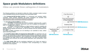iXblue can provide these cathegories of modulators

The following guidelines are intended to define the  $LiNbO<sub>3</sub>$  modulator models involved in the verification process and the selection of the associated model.

• The **Commercial-Off-The-Shelf (COTS)** is a commercial and standard LiNbO<sub>3</sub> modulator, iXblue portfolio amplitude and phase modulators are provided from <https://photonics.ixblue.com/products-list/phase-modulators>.

• The **Breadboard Model (BBM)** we identify:<br>- the BBM1: it can be seen as a COTS modulator model but with a custom  $LiNbO<sub>3</sub>$  chip (based on customer requirement such as an adapted EO-bandwidth, a Lower Vπ, a higher SER, a lower IL,…).<br>- the BBM2: is identical modulators to flight hardware except for reliability and<br>- the BBM2: is identical modulators to flight hardware except for reliability and

quality assurance. It is used for the confirmation of key performances (optical, electrical, electro-optical) and behavior, as well as interface and size (mechanical footprint, fibers,...).<br>The BBM1 & BBM2 modulators are not intending to be submitted to tests, neither

space operating condition.

• The **Qualified Model (QM) and Engineering Model (EM)** are modulators that are used for the confirmation of key performances and interface, including unit mounting scheme and thermal characteristics. These modulators are identical to flight hardware, it is sampled from flight model lot after screening test. The QMs are hardly tested following full level functional and environmental qualification tests (Qualification Tests Evaluation).

• The **Flight Model (FM)** are the modulators dedicated to fly; these are tested to acceptance-level testing (LAT Lot Acceptance Tests corresponding to a relaxed qualification tests program).

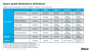Differences between COTS, BBM1, BBM2, EM and FM

|                                   |                                              | COTS <sup>(1)</sup> | <b>BBM1</b>                     | <b>BBM2(2)</b>                  | <b>EM, QM (2)</b>               | FM <sup>(2)</sup>               |
|-----------------------------------|----------------------------------------------|---------------------|---------------------------------|---------------------------------|---------------------------------|---------------------------------|
| <b>Raw material</b>               | Lithium Niobate Chip                         | Standard            | Standard or<br>customized $(3)$ | Standard or<br>customized $(3)$ | Standard or<br>customized $(3)$ | Standard or<br>customized $(3)$ |
|                                   | Metal Housing                                | Standard            | Standard                        | Space-<br>compatible            | Space-<br>compatible            | Space-<br>compatible            |
|                                   | Electrical & optical<br>connectors (RF & FC) | Standard            | Standard                        | Standard                        | Space-<br>compatible            | Space-<br>compatible            |
|                                   | Fiber jackets                                | Standard            | Standard                        | Space-<br>compatible            | Space-<br>compatible            | Space-<br>compatible            |
|                                   | Fiber boots                                  | Standard            | Standard                        | Space-<br>compatible            | Space-<br>compatible            | Space-<br>compatible            |
|                                   | Embedded elements                            | Standard            | Standard                        | Space-<br>compatible            | Space-<br>compatible            | Space-<br>compatible            |
| <b>Assembly</b><br><b>Process</b> |                                              | Standard            | Standard                        | Standard                        | Space-<br>compatible            | Space-<br>compatible            |
| <b>Selection</b>                  |                                              | Standard            | Standard                        | Standard                        | After screening                 | After screening<br>and LAT      |

Standard for Space products: ESCC and/or MIL-STD if applicable.

(1) iXblue's standard modulator, see our portofolio on [photonics.ixblue.com](https://photonics.ixblue.com/)

(2) Raw material and final modulators coming from the same batch.

(3) Custom  $LiNbO<sub>3</sub>$  Chip based on non-standard modulator specification.

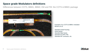Differences between COTS, BBM1, BBM2, EM and FM: the COTS & BBM1 package



### Example of ou COTS & BBM1 modulator MXAN-LN-10

Standard metal housing; Hytrel jacket; Standard fiber boots; Standard FC/APC PM; Standard RF connector, etc.

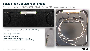Differences between COTS, BBM1, BBM2, EM and FM: the space grade package



Example of Space-grade modulator (EM, QM, FM, BBM2)

Space grade metal housing Peek jacket; Fiber boots space-grade; FC/APC & Mini AVIM (only for EM, QM, FM); RF connector space-grade (only for EM, QM, FM)

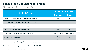Standard and Space Assembly Process

| <b>Main differences</b>                                        | <b>Assembly Process</b>                       |                     |  |
|----------------------------------------------------------------|-----------------------------------------------|---------------------|--|
|                                                                | <b>Standard</b>                               | <b>Space</b>        |  |
| Pre-test on electrical bonding by using a control sample       | No.                                           | <b>Yes</b>          |  |
| Post-test on electrical bonding by using a control sample      | <b>No</b>                                     | <b>Yes</b>          |  |
| Seal welding pre-test on a control sample                      | No.                                           | <b>Yes</b>          |  |
| Seal welding post-test on a control sample                     | N <sub>o</sub>                                | <b>Yes</b>          |  |
| Visual Inspection (Internal elements and/or external)          | Yes $(-3 \times 3)$                           | Yes $(-5 \times 5)$ |  |
| Metal Housing semi-hermetic                                    | <b>No</b><br>(Optical feedthrough<br>screwed) | <b>Yes</b>          |  |
| Number of manufacturing steps from Front End to EOM final test | $~1$ 20                                       | $~1$ 27             |  |

Applicable standard for Space products: ESCC and/or MIL-STD

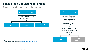General view of Manufacturing flow diagram





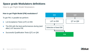How to get Flight Model Modulators

### **How to get Flight Model (FM) modulators?**

To get FM, in parallel we perform:

- Lot Acceptance Tests (LAT) on EM;
- The EM with the best performances during (and after) LAT become FM;
- Successful Qualification Tests (QT) on QM.